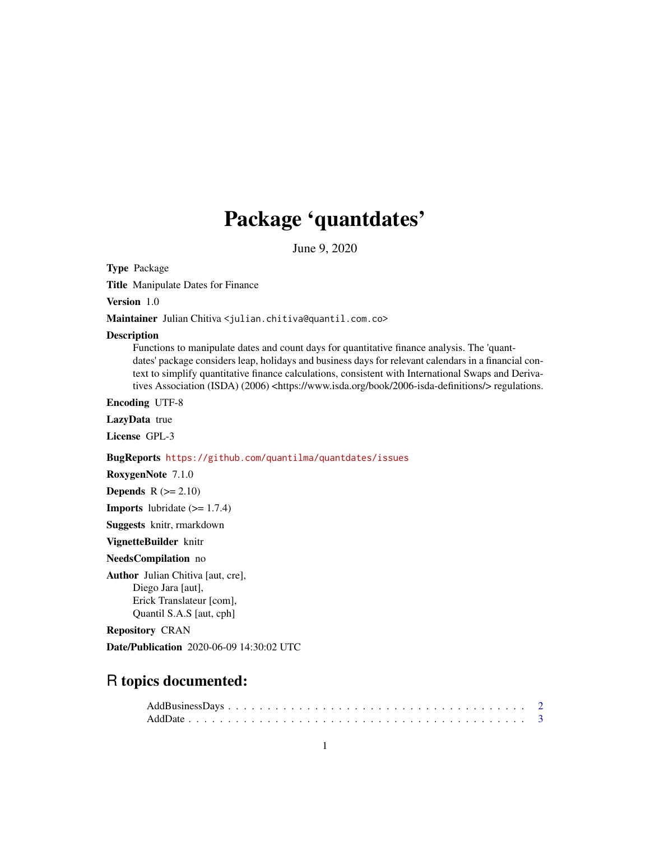# Package 'quantdates'

June 9, 2020

Type Package

Title Manipulate Dates for Finance

Version 1.0

Maintainer Julian Chitiva <julian.chitiva@quantil.com.co>

#### **Description**

Functions to manipulate dates and count days for quantitative finance analysis. The 'quantdates' package considers leap, holidays and business days for relevant calendars in a financial context to simplify quantitative finance calculations, consistent with International Swaps and Derivatives Association (ISDA) (2006) <https://www.isda.org/book/2006-isda-definitions/> regulations.

Encoding UTF-8

LazyData true

License GPL-3

#### BugReports <https://github.com/quantilma/quantdates/issues>

RoxygenNote 7.1.0

**Depends**  $R (= 2.10)$ 

**Imports** lubridate  $(>= 1.7.4)$ 

Suggests knitr, rmarkdown

VignetteBuilder knitr

#### NeedsCompilation no

Author Julian Chitiva [aut, cre], Diego Jara [aut], Erick Translateur [com], Quantil S.A.S [aut, cph]

Repository CRAN

Date/Publication 2020-06-09 14:30:02 UTC

# R topics documented: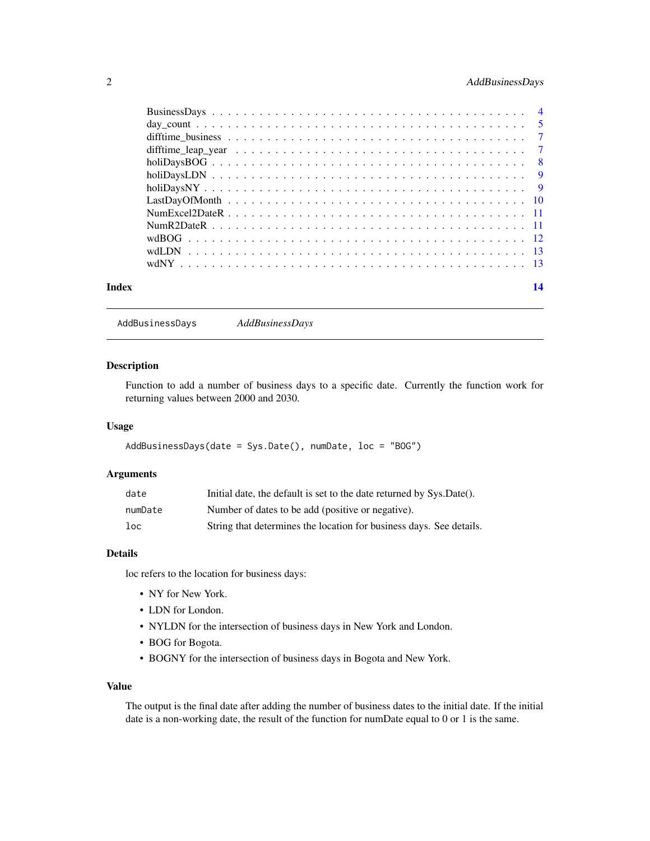# <span id="page-1-0"></span>2 AddBusinessDays

| Index | 14 |
|-------|----|

AddBusinessDays *AddBusinessDays*

# Description

Function to add a number of business days to a specific date. Currently the function work for returning values between 2000 and 2030.

#### Usage

```
AddBusinessDays(date = Sys.Date(), numDate, loc = "BOG")
```
# Arguments

| date    | Initial date, the default is set to the date returned by Sys.Date(). |
|---------|----------------------------------------------------------------------|
| numDate | Number of dates to be add (positive or negative).                    |
| $1$ oc  | String that determines the location for business days. See details.  |

#### Details

loc refers to the location for business days:

- NY for New York.
- LDN for London.
- NYLDN for the intersection of business days in New York and London.
- BOG for Bogota.
- BOGNY for the intersection of business days in Bogota and New York.

#### Value

The output is the final date after adding the number of business dates to the initial date. If the initial date is a non-working date, the result of the function for numDate equal to 0 or 1 is the same.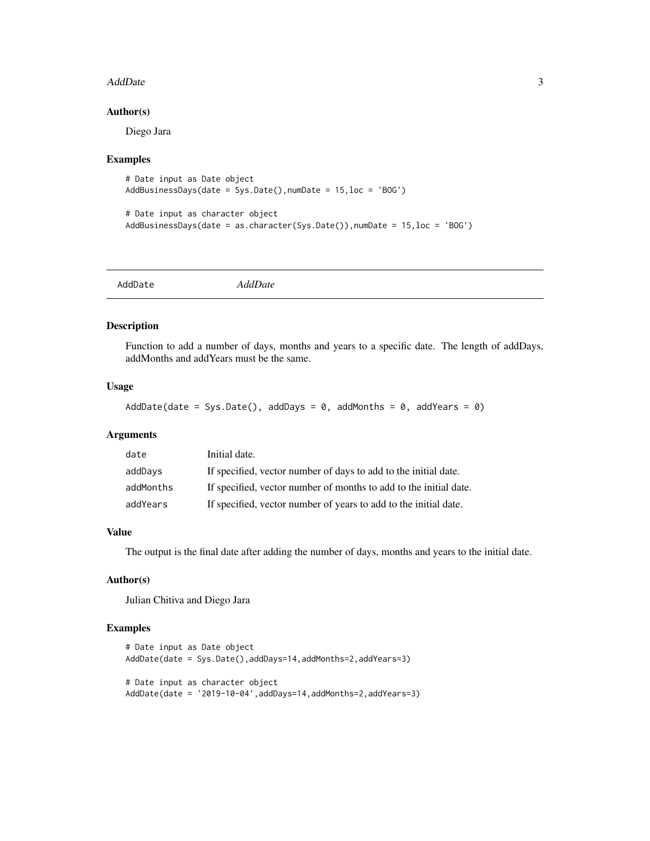#### <span id="page-2-0"></span>AddDate 3

#### Author(s)

Diego Jara

#### Examples

```
# Date input as Date object
AddBusinessDays(date = Sys.Date(),numDate = 15,loc = 'BOG')
```

```
# Date input as character object
AddBusinessDays(date = as.character(Sys.Date()),numDate = 15,loc = 'BOG')
```

|--|

# Description

Function to add a number of days, months and years to a specific date. The length of addDays, addMonths and addYears must be the same.

#### Usage

```
AddDate(date = Sys.Date(), addDays = 0, addMonths = 0, addYears = 0)
```
#### Arguments

| date      | Initial date.                                                     |
|-----------|-------------------------------------------------------------------|
| addDays   | If specified, vector number of days to add to the initial date.   |
| addMonths | If specified, vector number of months to add to the initial date. |
| addYears  | If specified, vector number of years to add to the initial date.  |

#### Value

The output is the final date after adding the number of days, months and years to the initial date.

#### Author(s)

Julian Chitiva and Diego Jara

```
# Date input as Date object
AddDate(date = Sys.Date(),addDays=14,addMonths=2,addYears=3)
# Date input as character object
AddDate(date = '2019-10-04',addDays=14,addMonths=2,addYears=3)
```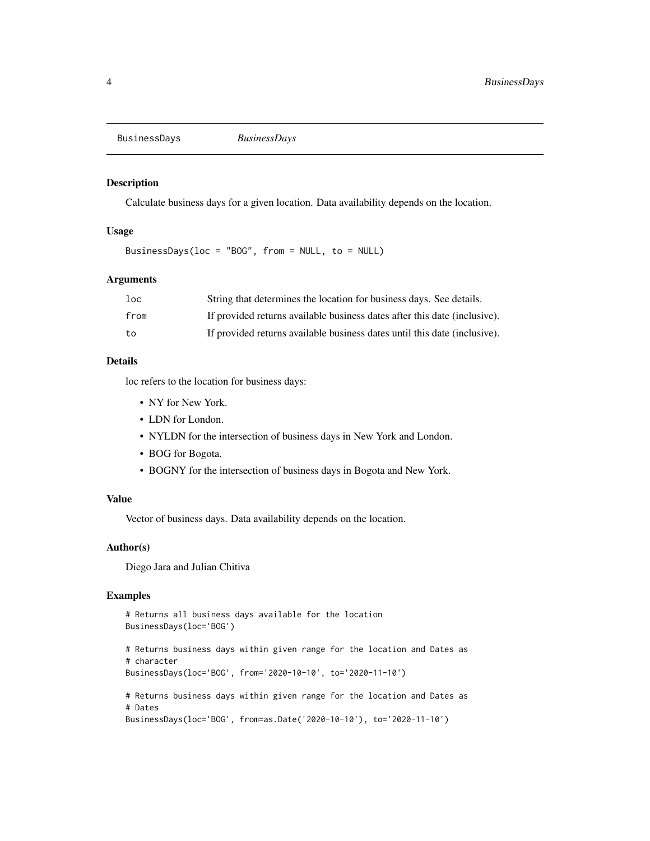<span id="page-3-0"></span>BusinessDays *BusinessDays*

# Description

Calculate business days for a given location. Data availability depends on the location.

#### Usage

BusinessDays(loc = "BOG", from = NULL, to = NULL)

#### Arguments

| 1oc  | String that determines the location for business days. See details.       |
|------|---------------------------------------------------------------------------|
| from | If provided returns available business dates after this date (inclusive). |
| to   | If provided returns available business dates until this date (inclusive). |

#### Details

loc refers to the location for business days:

- NY for New York.
- LDN for London.
- NYLDN for the intersection of business days in New York and London.
- BOG for Bogota.
- BOGNY for the intersection of business days in Bogota and New York.

#### Value

Vector of business days. Data availability depends on the location.

#### Author(s)

Diego Jara and Julian Chitiva

```
# Returns all business days available for the location
BusinessDays(loc='BOG')
# Returns business days within given range for the location and Dates as
# character
BusinessDays(loc='BOG', from='2020-10-10', to='2020-11-10')
# Returns business days within given range for the location and Dates as
# Dates
BusinessDays(loc='BOG', from=as.Date('2020-10-10'), to='2020-11-10')
```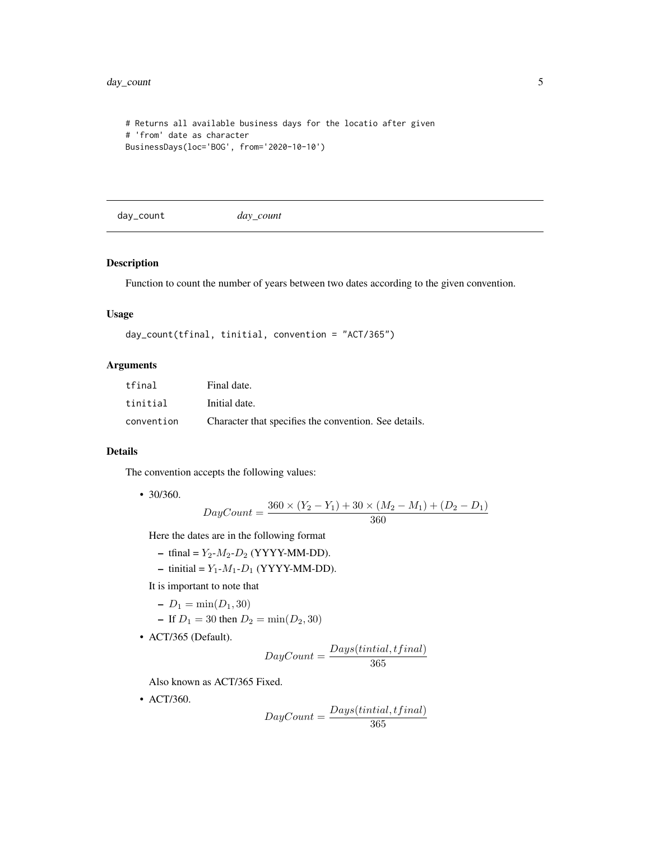```
# Returns all available business days for the locatio after given
# 'from' date as character
BusinessDays(loc='BOG', from='2020-10-10')
```
day\_count *day\_count*

# Description

Function to count the number of years between two dates according to the given convention.

# Usage

```
day_count(tfinal, tinitial, convention = "ACT/365")
```
# Arguments

| tfinal     | Final date.                                           |
|------------|-------------------------------------------------------|
| tinitial   | Initial date.                                         |
| convention | Character that specifies the convention. See details. |

#### Details

The convention accepts the following values:

• 30/360.

$$
DayCount = \frac{360 \times (Y_2 - Y_1) + 30 \times (M_2 - M_1) + (D_2 - D_1)}{360}
$$

Here the dates are in the following format

- tfinal =  $Y_2$ - $M_2$ - $D_2$  (YYYY-MM-DD).
- tinitial =  $Y_1$ - $M_1$ - $D_1$  (YYYY-MM-DD).

It is important to note that

- $-D_1 = \min(D_1, 30)$
- If  $D_1 = 30$  then  $D_2 = \min(D_2, 30)$
- ACT/365 (Default).

$$
DayCount = \frac{Days(tintial, tfinal)}{365}
$$

Also known as ACT/365 Fixed.

• ACT/360.

$$
DayCount = \frac{Days(tintial, tfinal)}{365}
$$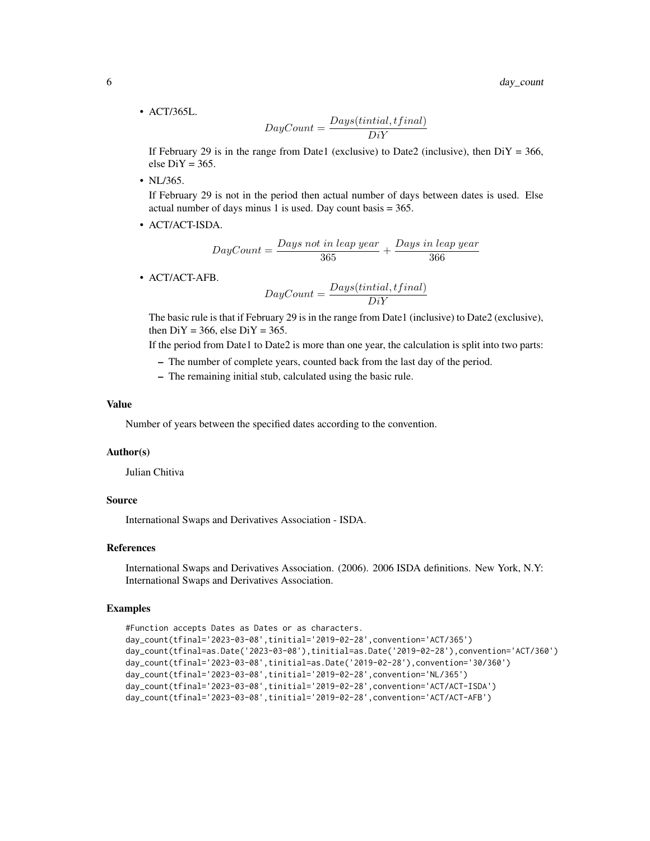• ACT/365L.

$$
DayCount = \frac{Days(tintial, tfinal)}{DiY}
$$

If February 29 is in the range from Date1 (exclusive) to Date2 (inclusive), then  $DiY = 366$ , else  $DiY = 365$ .

• NL/365.

If February 29 is not in the period then actual number of days between dates is used. Else actual number of days minus 1 is used. Day count basis = 365.

• ACT/ACT-ISDA.

$$
DayCount = \frac{Days \; not \; in \; leap \; year}{365} + \frac{Days \; in \; leap \; year}{366}
$$

• ACT/ACT-AFB.

$$
DayCount = \frac{Days(tintial,tfinal)}{DiY}
$$

The basic rule is that if February 29 is in the range from Date1 (inclusive) to Date2 (exclusive), then  $DiY = 366$ , else  $DiY = 365$ .

If the period from Date1 to Date2 is more than one year, the calculation is split into two parts:

- The number of complete years, counted back from the last day of the period.
- The remaining initial stub, calculated using the basic rule.

# Value

Number of years between the specified dates according to the convention.

#### Author(s)

Julian Chitiva

#### Source

International Swaps and Derivatives Association - ISDA.

# References

International Swaps and Derivatives Association. (2006). 2006 ISDA definitions. New York, N.Y: International Swaps and Derivatives Association.

```
#Function accepts Dates as Dates or as characters.
day_count(tfinal='2023-03-08',tinitial='2019-02-28',convention='ACT/365')
day_count(tfinal=as.Date('2023-03-08'),tinitial=as.Date('2019-02-28'),convention='ACT/360')
day_count(tfinal='2023-03-08',tinitial=as.Date('2019-02-28'),convention='30/360')
day_count(tfinal='2023-03-08',tinitial='2019-02-28',convention='NL/365')
day_count(tfinal='2023-03-08',tinitial='2019-02-28',convention='ACT/ACT-ISDA')
day_count(tfinal='2023-03-08',tinitial='2019-02-28',convention='ACT/ACT-AFB')
```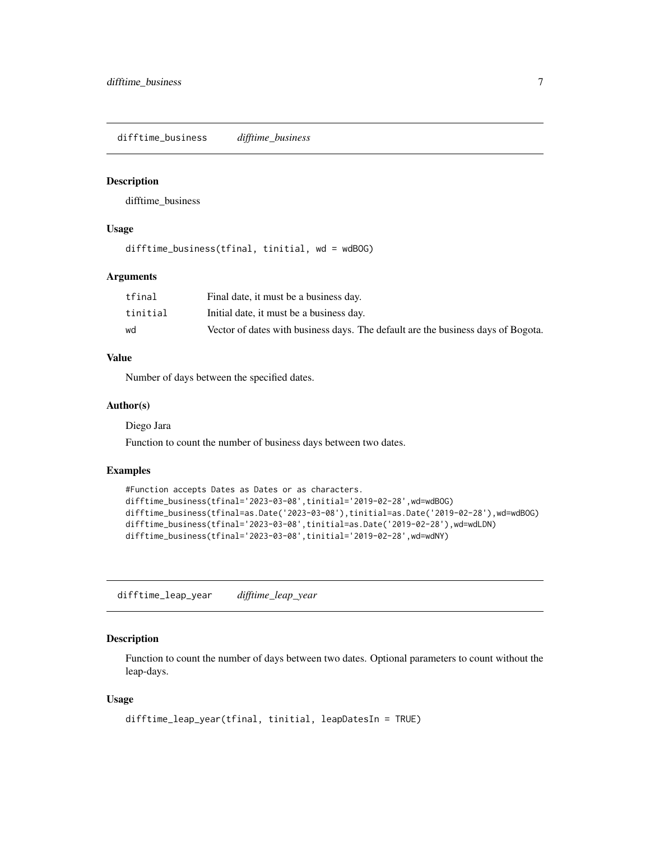<span id="page-6-0"></span>difftime\_business *difftime\_business*

#### Description

difftime\_business

#### Usage

difftime\_business(tfinal, tinitial, wd = wdBOG)

#### Arguments

| tfinal   | Final date, it must be a business day.                                           |
|----------|----------------------------------------------------------------------------------|
| tinitial | Initial date, it must be a business day.                                         |
| wd       | Vector of dates with business days. The default are the business days of Bogota. |

#### Value

Number of days between the specified dates.

#### Author(s)

Diego Jara

Function to count the number of business days between two dates.

#### Examples

```
#Function accepts Dates as Dates or as characters.
difftime_business(tfinal='2023-03-08',tinitial='2019-02-28',wd=wdBOG)
difftime_business(tfinal=as.Date('2023-03-08'),tinitial=as.Date('2019-02-28'),wd=wdBOG)
difftime_business(tfinal='2023-03-08',tinitial=as.Date('2019-02-28'),wd=wdLDN)
difftime_business(tfinal='2023-03-08',tinitial='2019-02-28',wd=wdNY)
```
difftime\_leap\_year *difftime\_leap\_year*

#### Description

Function to count the number of days between two dates. Optional parameters to count without the leap-days.

#### Usage

```
difftime_leap_year(tfinal, tinitial, leapDatesIn = TRUE)
```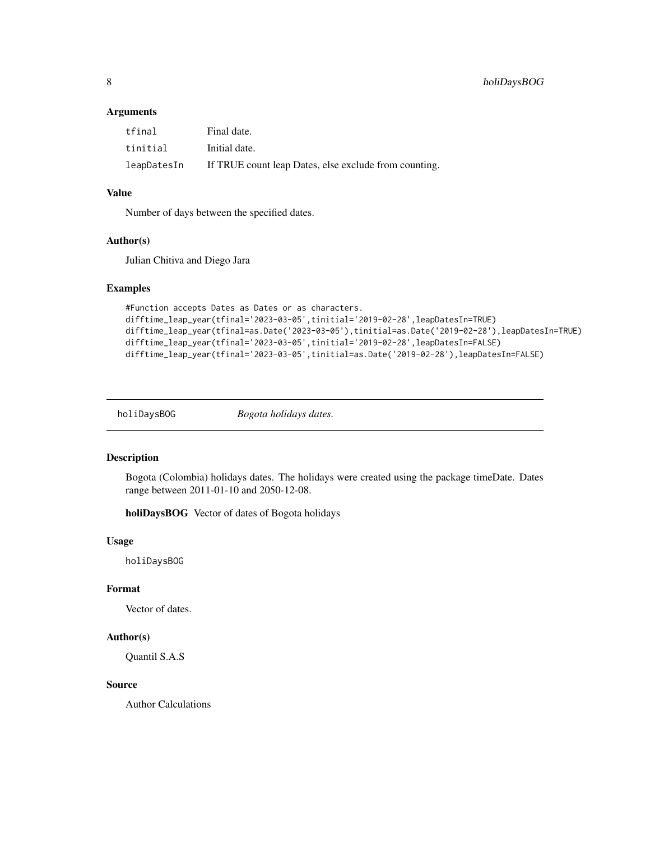# <span id="page-7-0"></span>Arguments

| tfinal      | Final date.                                           |
|-------------|-------------------------------------------------------|
| tinitial    | Initial date.                                         |
| leapDatesIn | If TRUE count leap Dates, else exclude from counting. |

# Value

Number of days between the specified dates.

#### Author(s)

Julian Chitiva and Diego Jara

#### Examples

```
#Function accepts Dates as Dates or as characters.
difftime_leap_year(tfinal='2023-03-05',tinitial='2019-02-28',leapDatesIn=TRUE)
difftime_leap_year(tfinal=as.Date('2023-03-05'),tinitial=as.Date('2019-02-28'),leapDatesIn=TRUE)
difftime_leap_year(tfinal='2023-03-05',tinitial='2019-02-28',leapDatesIn=FALSE)
difftime_leap_year(tfinal='2023-03-05',tinitial=as.Date('2019-02-28'),leapDatesIn=FALSE)
```
holiDaysBOG *Bogota holidays dates.*

#### Description

Bogota (Colombia) holidays dates. The holidays were created using the package timeDate. Dates range between 2011-01-10 and 2050-12-08.

holiDaysBOG Vector of dates of Bogota holidays

#### Usage

holiDaysBOG

# Format

Vector of dates.

# Author(s)

Quantil S.A.S

# Source

Author Calculations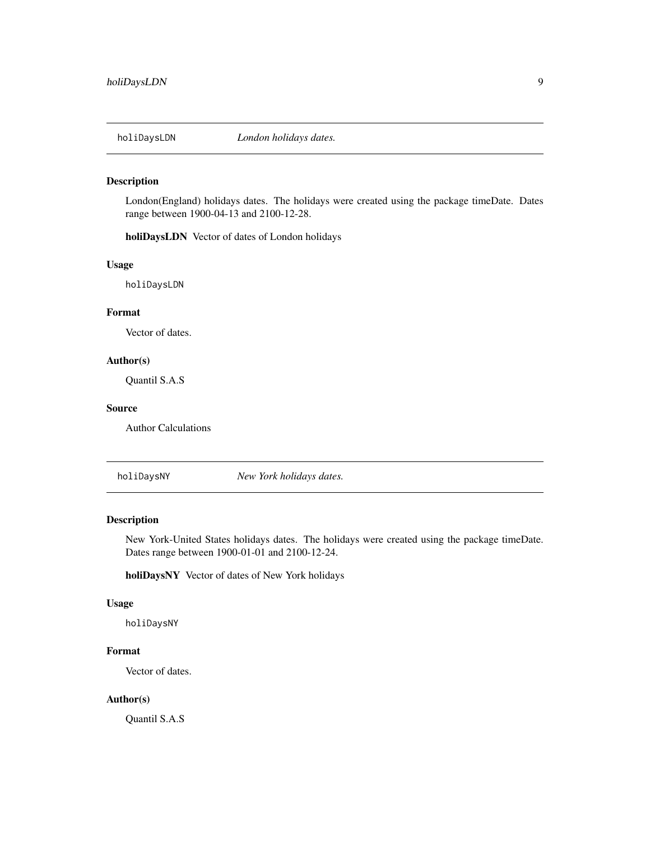<span id="page-8-0"></span>

# Description

London(England) holidays dates. The holidays were created using the package timeDate. Dates range between 1900-04-13 and 2100-12-28.

holiDaysLDN Vector of dates of London holidays

#### Usage

holiDaysLDN

# Format

Vector of dates.

#### Author(s)

Quantil S.A.S

### Source

Author Calculations

holiDaysNY *New York holidays dates.*

# Description

New York-United States holidays dates. The holidays were created using the package timeDate. Dates range between 1900-01-01 and 2100-12-24.

holiDaysNY Vector of dates of New York holidays

# Usage

holiDaysNY

### Format

Vector of dates.

# Author(s)

Quantil S.A.S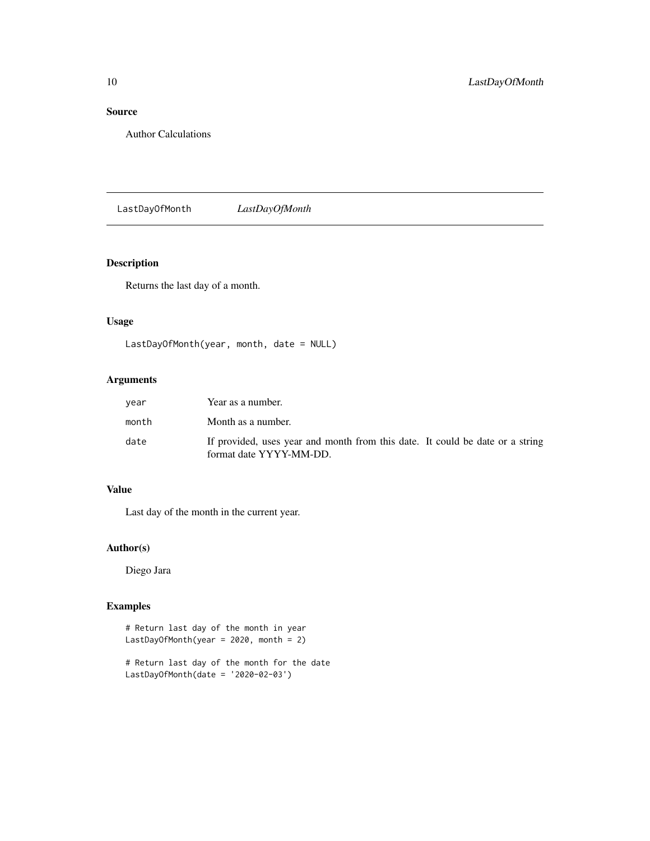# Source

Author Calculations

LastDayOfMonth *LastDayOfMonth*

# Description

Returns the last day of a month.

# Usage

```
LastDayOfMonth(year, month, date = NULL)
```
# Arguments

| vear  | Year as a number.                                                                                        |
|-------|----------------------------------------------------------------------------------------------------------|
| month | Month as a number.                                                                                       |
| date  | If provided, uses year and month from this date. It could be date or a string<br>format date YYYY-MM-DD. |

# Value

Last day of the month in the current year.

# Author(s)

Diego Jara

```
# Return last day of the month in year
LastDayOfMonth(year = 2020, month = 2)
```

```
# Return last day of the month for the date
LastDayOfMonth(date = '2020-02-03')
```
<span id="page-9-0"></span>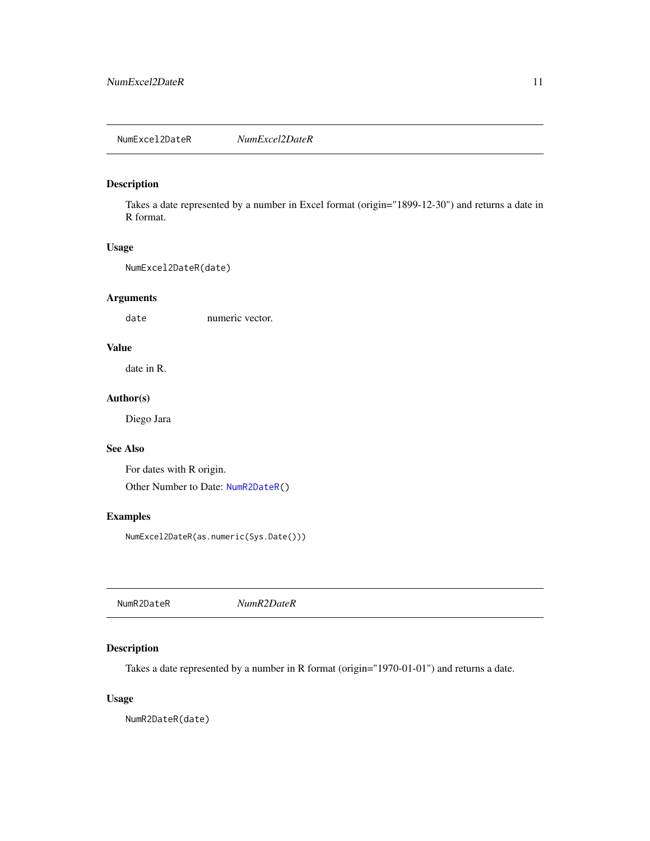# <span id="page-10-2"></span><span id="page-10-0"></span>Description

Takes a date represented by a number in Excel format (origin="1899-12-30") and returns a date in R format.

#### Usage

NumExcel2DateR(date)

# Arguments

date numeric vector.

# Value

date in R.

# Author(s)

Diego Jara

# See Also

For dates with R origin. Other Number to Date: [NumR2DateR\(](#page-10-1))

# Examples

NumExcel2DateR(as.numeric(Sys.Date()))

<span id="page-10-1"></span>

# Description

Takes a date represented by a number in R format (origin="1970-01-01") and returns a date.

#### Usage

NumR2DateR(date)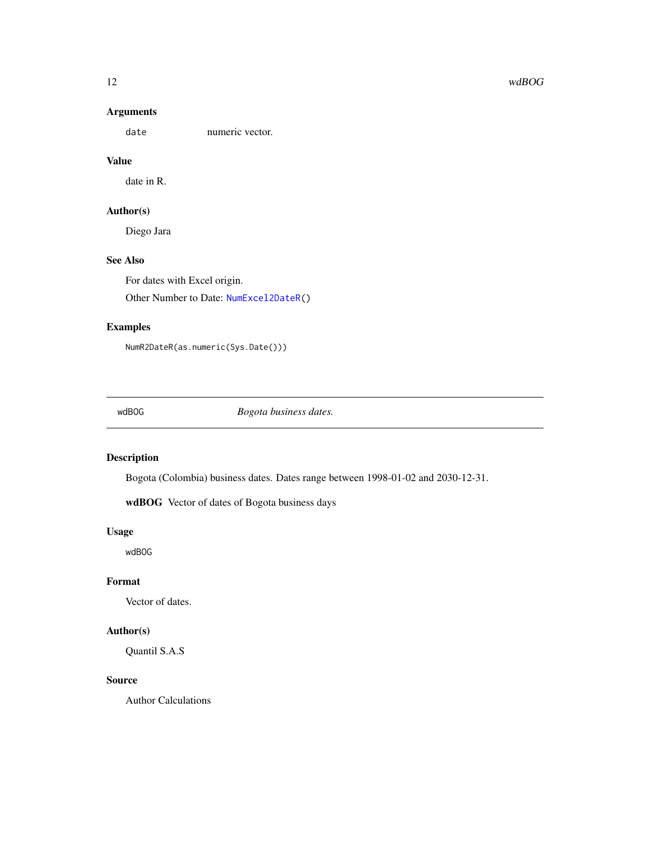# Arguments

date numeric vector.

# Value

date in R.

# Author(s)

Diego Jara

# See Also

For dates with Excel origin. Other Number to Date: [NumExcel2DateR\(](#page-10-2))

# Examples

NumR2DateR(as.numeric(Sys.Date()))

wdBOG *Bogota business dates.*

# Description

Bogota (Colombia) business dates. Dates range between 1998-01-02 and 2030-12-31.

wdBOG Vector of dates of Bogota business days

#### Usage

wdBOG

#### Format

Vector of dates.

# Author(s)

Quantil S.A.S

# Source

Author Calculations

<span id="page-11-0"></span>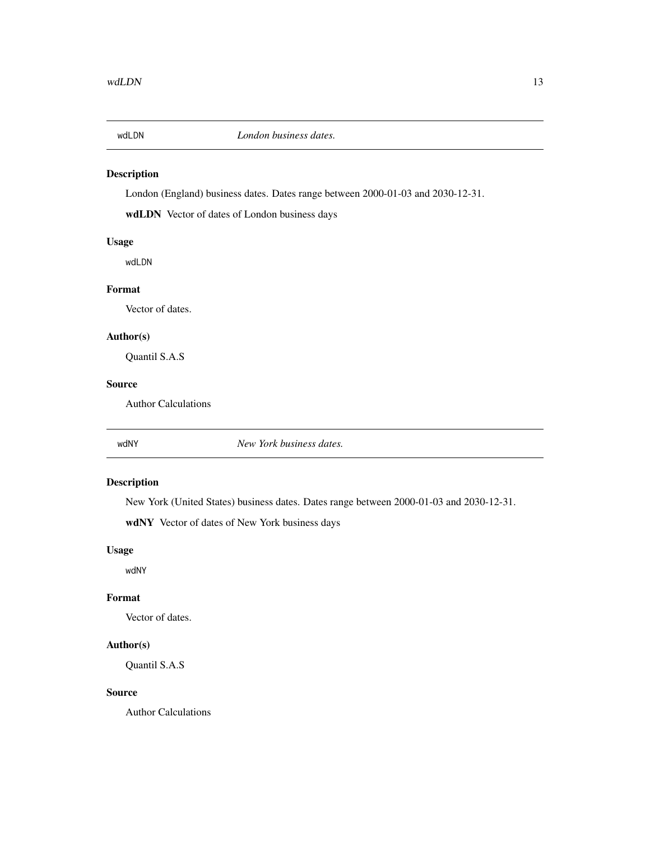<span id="page-12-0"></span>

# Description

London (England) business dates. Dates range between 2000-01-03 and 2030-12-31.

wdLDN Vector of dates of London business days

# Usage

wdLDN

# Format

Vector of dates.

# Author(s)

Quantil S.A.S

# Source

Author Calculations

wdNY *New York business dates.*

# Description

New York (United States) business dates. Dates range between 2000-01-03 and 2030-12-31.

wdNY Vector of dates of New York business days

# Usage

wdNY

#### Format

Vector of dates.

# Author(s)

Quantil S.A.S

#### Source

Author Calculations